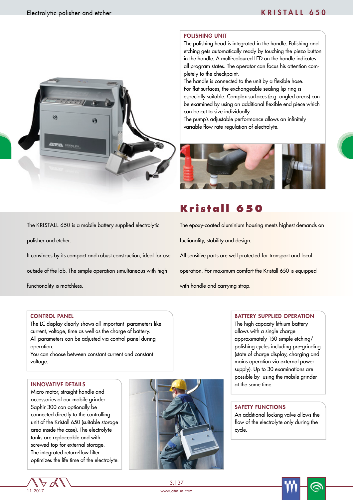

# The KRISTALL 650 is a mobile battery supplied electrolytic

It convinces by its compact and robust construction, ideal for use outside of the lab. The simple operation simultaneous with high functionality is matchless.

#### CONTROL PANEL

polisher and etcher.

The LC-display clearly shows all important parameters like current, voltage, time as well as the charge of battery. All parameters can be adjusted via control panel during operation.

You can choose between constant current and constant voltage.

 Micro motor, straight handle and accessories of our mobile grinder Saphir 300 can optionally be connected directly to the controlling unit of the Kristall 650 (suitable storage area inside the case). The electrolyte tanks are replaceable and with screwed top for external storage. The integrated return-flow filter optimizes the life time of the electrolyte.



### POLISHING UNIT

The polishing head is integrated in the handle. Polishing and etching gets automatically ready by touching the piezo button in the handle. A multi-coloured LED on the handle indicates all program states. The operator can focus his attention completely to the checkpoint.

The handle is connected to the unit by a flexible hose. For flat surfaces, the exchangeable sealing-lip ring is especially suitable. Complex surfaces (e.g. angled areas) can be examined by using an additional flexible end piece which can be cut to size individually.

The pump's adjustable performance allows an infinitely variable flow rate regulation of electrolyte.



## **Kristall 650**

The epoxy-coated aluminium housing meets highest demands on fuctionality, stability and design. All sensitive parts are well protected for transport and local operation. For maximum comfort the Kristall 650 is equipped

with handle and carrying strap.

#### BATTERY SUPPLIED OPERATION

The high capacity lithium battery allows with a single charge approximately 150 simple etching/ polishing cycles including pre-grinding (state of charge display, charging and mains operation via external power supply). Up to 30 examinations are possible by using the mobile grinder

#### SAFETY FUNCTIONS

An additional locking valve allows the flow of the electrolyte only during the cycle.

Ġ

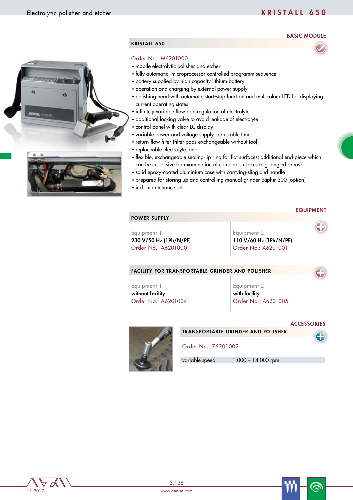### BASIC MODULE





### KRISTALL 650

#### Order No.: M6201000

- » mobile electrolytic polisher and etcher
- » fully automatic, microprocessor controlled programm sequence
- » battery supplied by high capacity lithium battery
- » operation and charging by external power supply
- » polishing head with automatic start-stop function and multicolour LED for displaying current operating states
- » infinitely variable flow rate regulation of electrolyte
- » additional locking valve to avoid leakage of electrolyte
- » control panel with clear LC display
- » variable power and voltage supply, adjustable time
- » return-flow filter (filter pads exchangeable without tool)
- » replaceable electrolyte tank
- » flexible, exchangeable sealing-lip ring for flat surfaces; additional end-piece which can be cut to size for examination of complex surfaces (e.g. angled areas)
- » solid epoxy-coated aluminium case with carrying-sling and handle
- » prepared for storing up and controlling manual grinder Saphir 300 (option)
- » incl. maintenance set

#### EQUIPMENT

## POWER SUPPLY

Equipment 1 230 V/50 Hz (1Ph/N/PE) Order No.: A6201000

Equipment 2 110 V/60 Hz (1Ph/N/PE) Order No.: A6201001

#### FACILITY FOR TRANSPORTABLE GRINDER AND POLISHER

Equipment 1 without facility Order No.: A6201004 Equipment 2 with facility Order No.: A6201005

#### **ACCESSORIES**

6